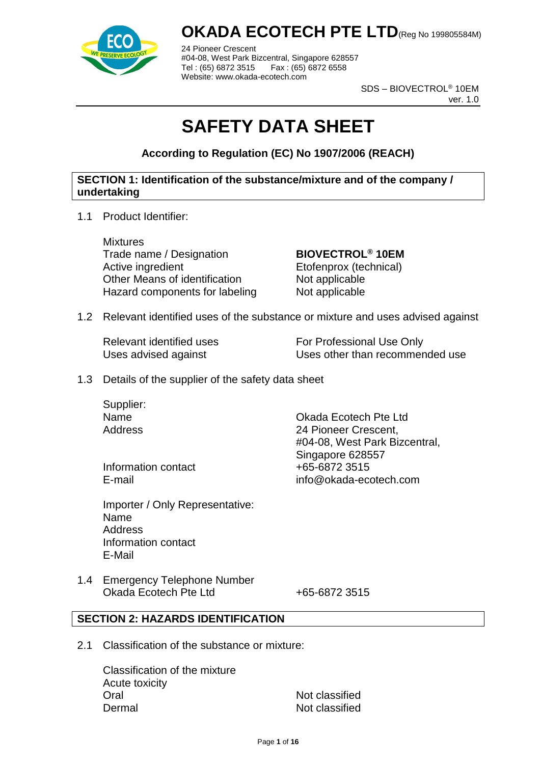

24 Pioneer Crescent #04-08, West Park Bizcentral, Singapore 628557 Tel : (65) 6872 3515 Fax : (65) 6872 6558 Website: www.okada-ecotech.com

> SDS – BIOVECTROL® 10EM ver. 1.0

# **SAFETY DATA SHEET**

**According to Regulation (EC) No 1907/2006 (REACH)**

#### **SECTION 1: Identification of the substance/mixture and of the company / undertaking**

1.1 Product Identifier:

**Mixtures** Trade name / Designation **BIOVECTROL® 10EM** Active ingredient Etofenprox (technical)<br>
Other Means of identification Mot applicable Other Means of identification Hazard components for labeling Not applicable

1.2 Relevant identified uses of the substance or mixture and uses advised against

Relevant identified uses For Professional Use Only Uses advised against Uses other than recommended use

1.3 Details of the supplier of the safety data sheet

Supplier:

Name Okada Ecotech Pte Ltd Address 24 Pioneer Crescent, #04-08, West Park Bizcentral, Singapore 628557 E-mail info@okada-ecotech.com

Information contact  $+65-68723515$ 

Importer / Only Representative: Name **Address** Information contact E-Mail

1.4 Emergency Telephone Number Okada Ecotech Pte Ltd +65-6872 3515

#### **SECTION 2: HAZARDS IDENTIFICATION**

2.1 Classification of the substance or mixture:

Classification of the mixture Acute toxicity Oral Not classified Dermal Not classified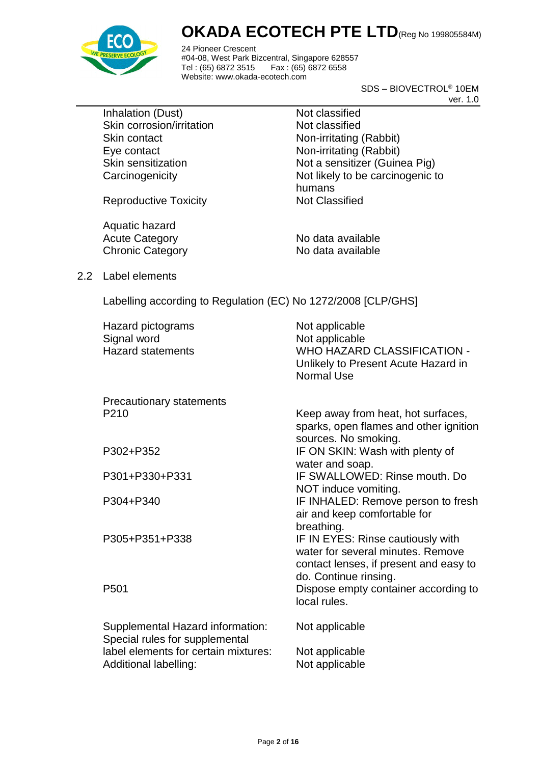

24 Pioneer Crescent #04-08, West Park Bizcentral, Singapore 628557 Fax : (65) 6872 6558 Website: www.okada-ecotech.com

> SDS – BIOVECTROL® 10EM ver. 1.0

Inhalation (Dust) Not classified Skin corrosion/irritation Not classified Skin contact Non-irritating (Rabbit) Eye contact Non-irritating (Rabbit)

Skin sensitization Not a sensitizer (Guinea Pig) Carcinogenicity **Not likely to be carcinogenic to** humans

Reproductive Toxicity Not Classified

Aquatic hazard Acute Category No data available Chronic Category No data available

2.2 Label elements

Labelling according to Regulation (EC) No 1272/2008 [CLP/GHS]

| Hazard pictograms<br>Signal word<br><b>Hazard statements</b>       | Not applicable<br>Not applicable<br><b>WHO HAZARD CLASSIFICATION -</b><br>Unlikely to Present Acute Hazard in<br>Normal Use    |
|--------------------------------------------------------------------|--------------------------------------------------------------------------------------------------------------------------------|
| Precautionary statements                                           |                                                                                                                                |
| P <sub>210</sub>                                                   | Keep away from heat, hot surfaces,<br>sparks, open flames and other ignition<br>sources. No smoking.                           |
| P302+P352                                                          | IF ON SKIN: Wash with plenty of<br>water and soap.                                                                             |
| P301+P330+P331                                                     | IF SWALLOWED: Rinse mouth, Do<br>NOT induce vomiting.                                                                          |
| P304+P340                                                          | IF INHALED: Remove person to fresh<br>air and keep comfortable for                                                             |
| P305+P351+P338                                                     | breathing.<br>IF IN EYES: Rinse cautiously with<br>water for several minutes. Remove<br>contact lenses, if present and easy to |
| P <sub>501</sub>                                                   | do. Continue rinsing.<br>Dispose empty container according to<br>local rules.                                                  |
| Supplemental Hazard information:<br>Special rules for supplemental | Not applicable                                                                                                                 |
| label elements for certain mixtures:<br>Additional labelling:      | Not applicable<br>Not applicable                                                                                               |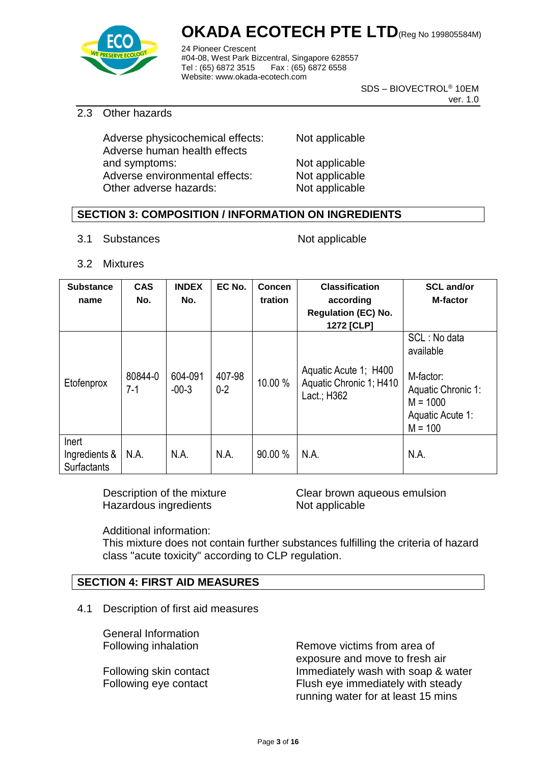

24 Pioneer Crescent #04-08, West Park Bizcentral, Singapore 628557 Fax : (65) 6872 6558 Website: www.okada-ecotech.com

> SDS – BIOVECTROL® 10EM ver. 1.0

#### 2.3 Other hazards

Adverse physicochemical effects: Not applicable Adverse human health effects and symptoms: Not applicable Adverse environmental effects: Not applicable Other adverse hazards: Not applicable

#### **SECTION 3: COMPOSITION / INFORMATION ON INGREDIENTS**

3.1 Substances Not applicable

3.2 Mixtures

| <b>Substance</b><br>name                     | <b>CAS</b><br>No. | <b>INDEX</b><br>No. | EC No.            | <b>Concen</b><br>tration | <b>Classification</b><br>according<br><b>Regulation (EC) No.</b><br>1272 [CLP] | <b>SCL and/or</b><br><b>M-factor</b>                                                                        |
|----------------------------------------------|-------------------|---------------------|-------------------|--------------------------|--------------------------------------------------------------------------------|-------------------------------------------------------------------------------------------------------------|
| Etofenprox                                   | 80844-0<br>7-1    | 604-091<br>$-00-3$  | 407-98<br>$0 - 2$ | 10.00 %                  | Aquatic Acute 1; H400<br>Aquatic Chronic 1; H410<br>Lact.; H362                | SCL: No data<br>available<br>M-factor:<br>Aquatic Chronic 1:<br>$M = 1000$<br>Aquatic Acute 1:<br>$M = 100$ |
| Inert<br>Ingredients &<br><b>Surfactants</b> | N.A.              | N.A.                | N.A.              | 90.00 %                  | N.A.                                                                           | N.A.                                                                                                        |

Hazardous ingredients Not applicable

Description of the mixture **Clear brown aqueous emulsion** 

Additional information:

This mixture does not contain further substances fulfilling the criteria of hazard class "acute toxicity" according to CLP regulation.

#### **SECTION 4: FIRST AID MEASURES**

4.1 Description of first aid measures

General Information

Following inhalation **Remove victims from area of** exposure and move to fresh air Following skin contact Immediately wash with soap & water Following eye contact Flush eye immediately with steady running water for at least 15 mins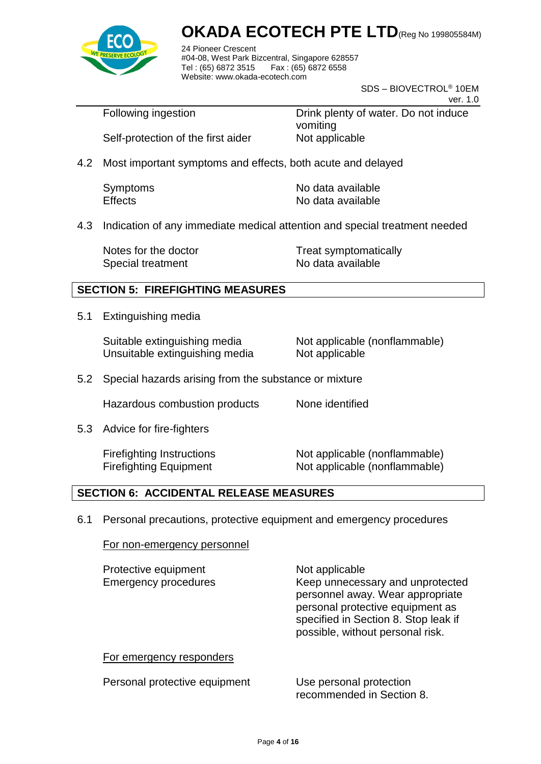

24 Pioneer Crescent #04-08, West Park Bizcentral, Singapore 628557 Fax : (65) 6872 6558 Website: www.okada-ecotech.com

> SDS – BIOVECTROL® 10EM ver. 1.0

Following ingestion **Drink plenty of water.** Do not induce vomiting Self-protection of the first aider Not applicable

4.2 Most important symptoms and effects, both acute and delayed

| Symptoms       | No data available |
|----------------|-------------------|
| <b>Effects</b> | No data available |

4.3 Indication of any immediate medical attention and special treatment needed

Special treatment No data available

Notes for the doctor Treat symptomatically

#### **SECTION 5: FIREFIGHTING MEASURES**

5.1 Extinguishing media

Suitable extinguishing media Not applicable (nonflammable) Unsuitable extinguishing media Not applicable

5.2 Special hazards arising from the substance or mixture

Hazardous combustion products None identified

5.3 Advice for fire-fighters

Firefighting Instructions Not applicable (nonflammable) Firefighting Equipment Not applicable (nonflammable)

#### **SECTION 6: ACCIDENTAL RELEASE MEASURES**

6.1 Personal precautions, protective equipment and emergency procedures

For non-emergency personnel

| Protective equipment<br><b>Emergency procedures</b> | Not applicable<br>Keep unnecessary and unprotected<br>personnel away. Wear appropriate<br>personal protective equipment as<br>specified in Section 8. Stop leak if<br>possible, without personal risk. |
|-----------------------------------------------------|--------------------------------------------------------------------------------------------------------------------------------------------------------------------------------------------------------|
| For emergency responders                            |                                                                                                                                                                                                        |
| Personal protective equipment                       | Use personal protection<br>recommended in Section 8.                                                                                                                                                   |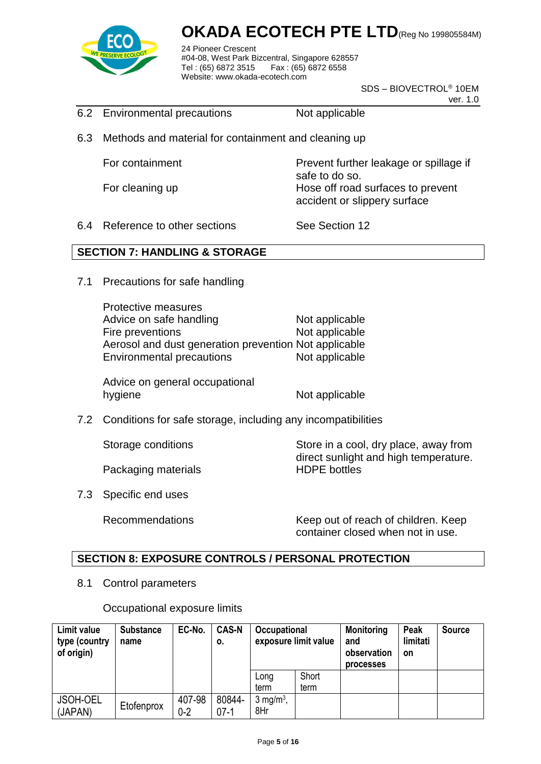

24 Pioneer Crescent #04-08, West Park Bizcentral, Singapore 628557 Fax : (65) 6872 6558 Website: www.okada-ecotech.com

> SDS – BIOVECTROL® 10EM ver. 1.0

- 6.2 Environmental precautions Not applicable
- 6.3 Methods and material for containment and cleaning up

For containment **Prevent further leakage or spillage if** 

safe to do so. For cleaning up **Hose off road surfaces to prevent** accident or slippery surface

6.4 Reference to other sections See Section 12

#### **SECTION 7: HANDLING & STORAGE**

7.1 Precautions for safe handling

Protective measures Advice on safe handling Not applicable Fire preventions Not applicable Aerosol and dust generation prevention Not applicable Environmental precautions Not applicable

Advice on general occupational hygiene Not applicable

7.2 Conditions for safe storage, including any incompatibilities

Storage conditions Store in a cool, dry place, away from

Packaging materials **HDPE** bottles

7.3 Specific end uses

Recommendations Keep out of reach of children. Keep container closed when not in use.

direct sunlight and high temperature.

#### **SECTION 8: EXPOSURE CONTROLS / PERSONAL PROTECTION**

8.1 Control parameters

Occupational exposure limits

| Limit value<br>type (country<br>of origin) | <b>Substance</b><br>name | EC-No.            | <b>CAS-N</b><br>О. | Occupational<br>exposure limit value |               | <b>Monitoring</b><br>and<br>observation<br><b>processes</b> | Peak<br>limitati<br><b>on</b> | <b>Source</b> |
|--------------------------------------------|--------------------------|-------------------|--------------------|--------------------------------------|---------------|-------------------------------------------------------------|-------------------------------|---------------|
|                                            |                          |                   |                    | Long<br>term                         | Short<br>term |                                                             |                               |               |
| JSOH-OEL<br>(JAPAN)                        | Etofenprox               | 407-98<br>$0 - 2$ | 80844-<br>$07-1$   | $3$ mg/m <sup>3</sup> ,<br>8Hr       |               |                                                             |                               |               |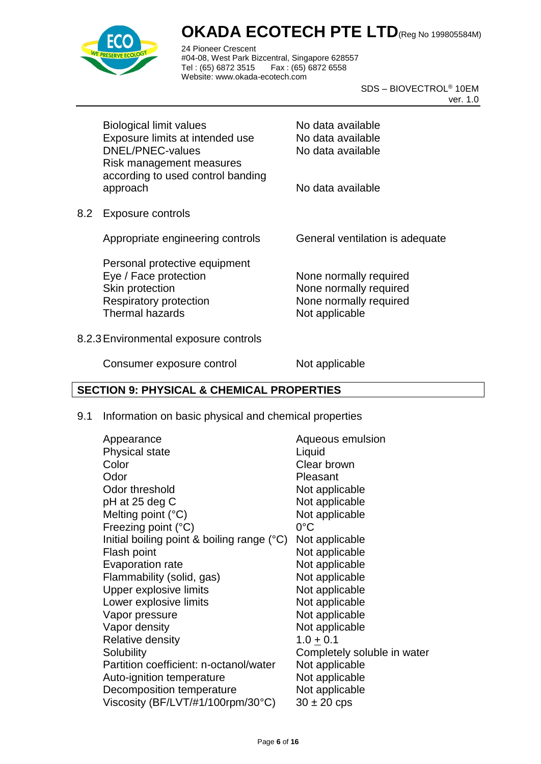

24 Pioneer Crescent #04-08, West Park Bizcentral, Singapore 628557 Tel : (65) 6872 3515 Fax : (65) 6872 6558 Website: www.okada-ecotech.com

> SDS – BIOVECTROL® 10EM ver. 1.0

|     | <b>Biological limit values</b>                                            | No data available               |
|-----|---------------------------------------------------------------------------|---------------------------------|
|     | Exposure limits at intended use                                           | No data available               |
|     | DNEL/PNEC-values                                                          | No data available               |
|     | Risk management measures<br>according to used control banding<br>approach | No data available               |
| 8.2 | <b>Exposure controls</b>                                                  |                                 |
|     | Appropriate engineering controls                                          | General ventilation is adequate |
|     | Personal protective equipment                                             |                                 |
|     | Eye / Face protection                                                     | None normally required          |
|     | Skin protection                                                           | None normally required          |
|     | <b>Respiratory protection</b>                                             | None normally required          |
|     | <b>Thermal hazards</b>                                                    | Not applicable                  |
|     |                                                                           |                                 |
|     |                                                                           |                                 |

#### 8.2.3Environmental exposure controls

Consumer exposure control Not applicable

#### **SECTION 9: PHYSICAL & CHEMICAL PROPERTIES**

#### 9.1 Information on basic physical and chemical properties

| Appearance                                   | Aqueous emulsion            |
|----------------------------------------------|-----------------------------|
| <b>Physical state</b>                        | Liquid                      |
| Color                                        | Clear brown                 |
| Odor                                         | Pleasant                    |
| Odor threshold                               | Not applicable              |
| pH at 25 deg C                               | Not applicable              |
| Melting point $(^{\circ}C)$                  | Not applicable              |
| Freezing point $(^{\circ}C)$                 | $0^{\circ}$ C               |
| Initial boiling point & boiling range $(°C)$ | Not applicable              |
| Flash point                                  | Not applicable              |
| Evaporation rate                             | Not applicable              |
| Flammability (solid, gas)                    | Not applicable              |
| Upper explosive limits                       | Not applicable              |
| Lower explosive limits                       | Not applicable              |
| Vapor pressure                               | Not applicable              |
| Vapor density                                | Not applicable              |
| <b>Relative density</b>                      | $1.0 + 0.1$                 |
| Solubility                                   | Completely soluble in water |
| Partition coefficient: n-octanol/water       | Not applicable              |
| Auto-ignition temperature                    | Not applicable              |
| Decomposition temperature                    | Not applicable              |
| Viscosity (BF/LVT/#1/100rpm/30°C)            | $30 \pm 20$ cps             |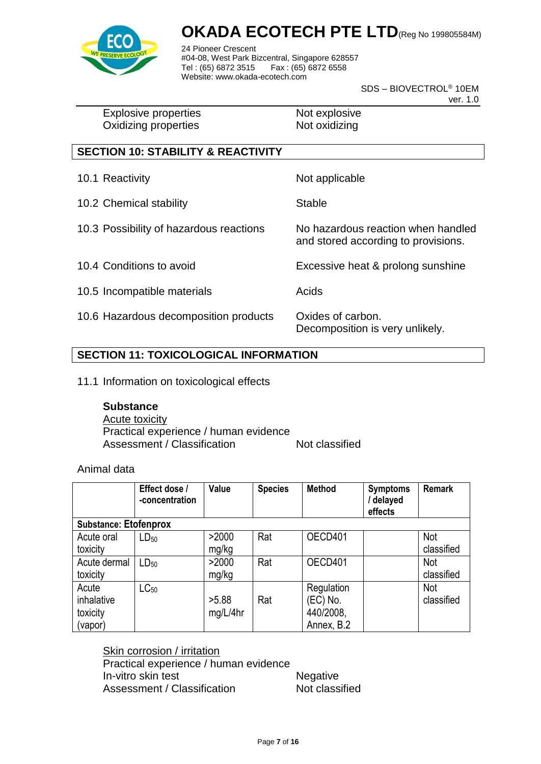

24 Pioneer Crescent #04-08, West Park Bizcentral, Singapore 628557 Tel : (65) 6872 3515 Fax : (65) 6872 6558 Website: www.okada-ecotech.com

> SDS – BIOVECTROL® 10EM ver. 1.0

Explosive properties Not explosive Oxidizing properties Not oxidizing

### **SECTION 10: STABILITY & REACTIVITY**

- 10.1 Reactivity **Not** applicable 10.2 Chemical stability Stable 10.3 Possibility of hazardous reactions No hazardous reaction when handled
- 
- 10.5 Incompatible materials **Acids** Acids
- 10.6 Hazardous decomposition products Oxides of carbon.

and stored according to provisions.

10.4 Conditions to avoid Excessive heat & prolong sunshine

Decomposition is very unlikely.

#### **SECTION 11: TOXICOLOGICAL INFORMATION**

11.1 Information on toxicological effects

#### **Substance**

Acute toxicity Practical experience / human evidence Assessment / Classification Not classified

Animal data

|                                            | Effect dose /<br>-concentration | Value             | <b>Species</b> | <b>Method</b>                                     | <b>Symptoms</b><br>/ delayed<br>effects | <b>Remark</b>     |  |  |
|--------------------------------------------|---------------------------------|-------------------|----------------|---------------------------------------------------|-----------------------------------------|-------------------|--|--|
| <b>Substance: Etofenprox</b>               |                                 |                   |                |                                                   |                                         |                   |  |  |
| Acute oral<br>toxicity                     | $LD_{50}$                       | >2000<br>mg/kg    | Rat            | OECD401                                           |                                         | Not<br>classified |  |  |
| Acute dermal<br>toxicity                   | $LD_{50}$                       | >2000<br>mg/kg    | Rat            | OECD401                                           |                                         | Not<br>classified |  |  |
| Acute<br>inhalative<br>toxicity<br>(vapor) | $LC_{50}$                       | >5.88<br>mg/L/4hr | Rat            | Regulation<br>(EC) No.<br>440/2008,<br>Annex, B.2 |                                         | Not<br>classified |  |  |

Skin corrosion / irritation

Practical experience / human evidence In-vitro skin test Negative Assessment / Classification Not classified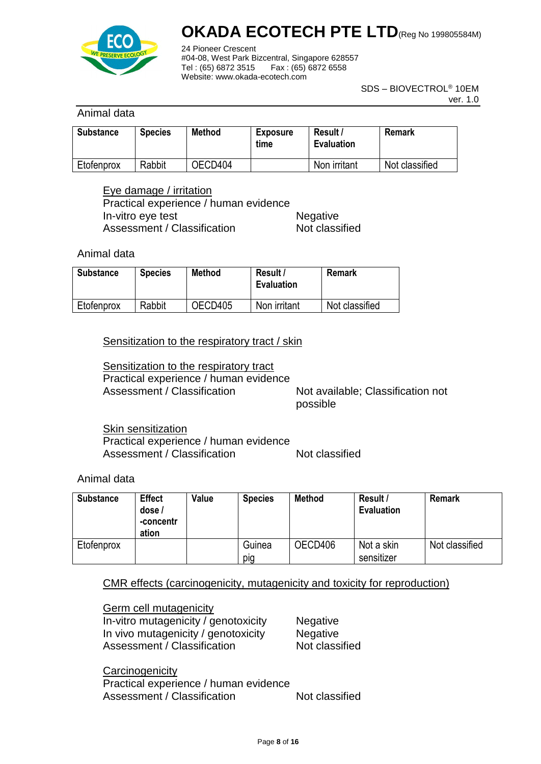

24 Pioneer Crescent #04-08, West Park Bizcentral, Singapore 628557 Tel : (65) 6872 3515 Fax : (65) 6872 6558 Website: www.okada-ecotech.com

> SDS – BIOVECTROL® 10EM ver. 1.0

#### Animal data

| <b>Substance</b> | <b>Species</b> | Method  | <b>Exposure</b><br>time | Result /<br><b>Evaluation</b> | Remark         |
|------------------|----------------|---------|-------------------------|-------------------------------|----------------|
| Etofenprox       | Rabbit         | OECD404 |                         | Non irritant                  | Not classified |

Eye damage / irritation Practical experience / human evidence In-vitro eye test Negative Assessment / Classification Not classified

Animal data

| <b>Substance</b> | <b>Species</b> | <b>Method</b> | Result /<br><b>Evaluation</b> | Remark         |
|------------------|----------------|---------------|-------------------------------|----------------|
| Etofenprox       | Rabbit         | OECD405       | Non irritant                  | Not classified |

Sensitization to the respiratory tract / skin

Sensitization to the respiratory tract Practical experience / human evidence Assessment / Classification Not available; Classification not

possible

**Skin sensitization** Practical experience / human evidence Assessment / Classification Not classified

Animal data

| <b>Substance</b> | <b>Effect</b><br>dose /<br>-concentr<br>ation | Value | <b>Species</b> | Method  | Result /<br><b>Evaluation</b> | <b>Remark</b>  |
|------------------|-----------------------------------------------|-------|----------------|---------|-------------------------------|----------------|
| Etofenprox       |                                               |       | Guinea<br>pig  | OECD406 | Not a skin<br>sensitizer      | Not classified |

#### CMR effects (carcinogenicity, mutagenicity and toxicity for reproduction)

Germ cell mutagenicity In-vitro mutagenicity / genotoxicity Negative In vivo mutagenicity / genotoxicity Negative Assessment / Classification Not classified

**Carcinogenicity** Practical experience / human evidence Assessment / Classification Not classified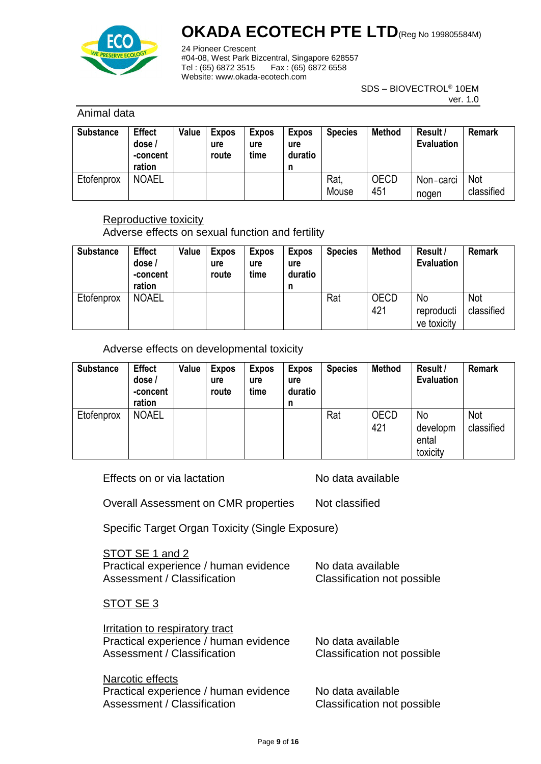

24 Pioneer Crescent #04-08, West Park Bizcentral, Singapore 628557 Tel : (65) 6872 3515 Fax : (65) 6872 6558 Website: www.okada-ecotech.com

> SDS – BIOVECTROL® 10EM ver. 1.0

#### Animal data

| <b>Substance</b> | <b>Effect</b><br>dose/<br>-concent<br>ration | Value | <b>Expos</b><br>ure<br>route | <b>Expos</b><br>ure<br>time | <b>Expos</b><br>ure<br>duratio<br>n | <b>Species</b> | <b>Method</b> | Result /<br><b>Evaluation</b> | <b>Remark</b>     |
|------------------|----------------------------------------------|-------|------------------------------|-----------------------------|-------------------------------------|----------------|---------------|-------------------------------|-------------------|
| Etofenprox       | <b>NOAEL</b>                                 |       |                              |                             |                                     | Rat.<br>Mouse  | OECD<br>451   | Non-carci<br>nogen            | Not<br>classified |

#### Reproductive toxicity

Adverse effects on sexual function and fertility

| <b>Substance</b> | <b>Effect</b><br>dose /<br>-concent<br>ration | Value | <b>Expos</b><br>ure<br>route | <b>Expos</b><br>ure<br>time | <b>Expos</b><br>ure<br>duratio<br>n | <b>Species</b> | <b>Method</b>      | Result /<br><b>Evaluation</b>   | <b>Remark</b>     |
|------------------|-----------------------------------------------|-------|------------------------------|-----------------------------|-------------------------------------|----------------|--------------------|---------------------------------|-------------------|
| Etofenprox       | <b>NOAEL</b>                                  |       |                              |                             |                                     | Rat            | <b>OECD</b><br>421 | No<br>reproducti<br>ve toxicity | Not<br>classified |

Adverse effects on developmental toxicity

| <b>Substance</b> | <b>Effect</b><br>dose /<br>-concent<br>ration | Value | <b>Expos</b><br>ure<br>route | <b>Expos</b><br>ure<br>time | <b>Expos</b><br>ure<br>duratio<br>n | <b>Species</b> | <b>Method</b>      | Result /<br><b>Evaluation</b>       | <b>Remark</b>     |
|------------------|-----------------------------------------------|-------|------------------------------|-----------------------------|-------------------------------------|----------------|--------------------|-------------------------------------|-------------------|
| Etofenprox       | <b>NOAEL</b>                                  |       |                              |                             |                                     | Rat            | <b>OECD</b><br>421 | No<br>developm<br>ental<br>toxicity | Not<br>classified |

Effects on or via lactation No data available

Overall Assessment on CMR properties Not classified

Specific Target Organ Toxicity (Single Exposure)

| STOT SE 1 and 2                       |                             |
|---------------------------------------|-----------------------------|
| Practical experience / human evidence | No data available           |
| Assessment / Classification           | Classification not possible |

#### STOT SE 3

| Irritation to respiratory tract<br>Practical experience / human evidence<br>Assessment / Classification | No data available<br>Classification not possible |
|---------------------------------------------------------------------------------------------------------|--------------------------------------------------|
| Narcotic effects<br>Practical experience / human evidence                                               | No data available                                |
| Assessment / Classification                                                                             | Classification not possible                      |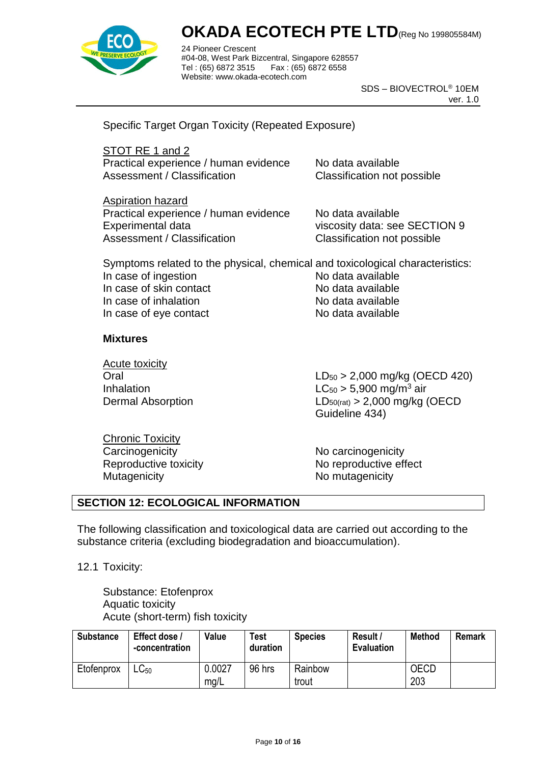

24 Pioneer Crescent #04-08, West Park Bizcentral, Singapore 628557 Fax : (65) 6872 6558 Website: www.okada-ecotech.com

> SDS – BIOVECTROL® 10EM ver. 1.0

Specific Target Organ Toxicity (Repeated Exposure)

STOT RE 1 and 2 Practical experience / human evidence No data available Assessment / Classification Classification not possible

Aspiration hazard Practical experience / human evidence No data available Experimental data viscosity data: see SECTION 9 Assessment / Classification Classification not possible

Symptoms related to the physical, chemical and toxicological characteristics: In case of ingestion No data available In case of skin contact No data available In case of inhalation No data available In case of eye contact No data available

#### **Mixtures**

Acute toxicity

Oral LD<sup>50</sup> > 2,000 mg/kg (OECD 420) Inhalation  $LC_{50} > 5,900$  mg/m<sup>3</sup> air Dermal Absorption LD50(rat) > 2,000 mg/kg (OECD Guideline 434)

Chronic Toxicity Carcinogenicity **No carcinogenicity** No carcinogenicity Mutagenicity Mutagenicity Momutagenicity

Reproductive toxicity No reproductive effect

#### **SECTION 12: ECOLOGICAL INFORMATION**

The following classification and toxicological data are carried out according to the substance criteria (excluding biodegradation and bioaccumulation).

12.1 Toxicity:

Substance: Etofenprox Aquatic toxicity Acute (short-term) fish toxicity

| <b>Substance</b> | Effect dose /<br>-concentration | Value  | <b>Test</b><br>duration | <b>Species</b> | Result /<br><b>Evaluation</b> | Method      | <b>Remark</b> |
|------------------|---------------------------------|--------|-------------------------|----------------|-------------------------------|-------------|---------------|
| Etofenprox       | ∟C <sub>50</sub>                | 0.0027 | 96 hrs                  | Rainbow        |                               | <b>OECD</b> |               |
|                  |                                 | mg/L   |                         | trout          |                               | 203         |               |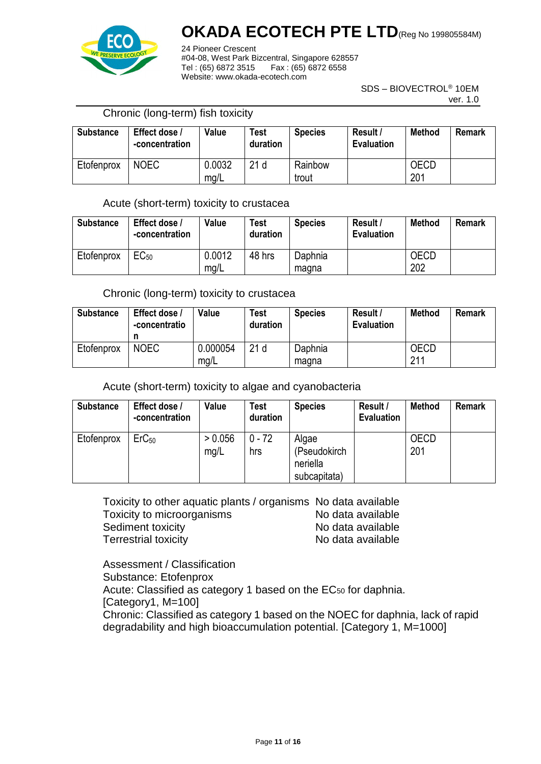

24 Pioneer Crescent #04-08, West Park Bizcentral, Singapore 628557  $Tel: (65) 6872 3515$ Website: www.okada-ecotech.com

> SDS – BIOVECTROL® 10EM ver. 1.0

#### Chronic (long-term) fish toxicity

| <b>Substance</b> | Effect dose /<br>-concentration | Value          | <b>Test</b><br>duration | <b>Species</b>   | Result /<br><b>Evaluation</b> | <b>Method</b> | <b>Remark</b> |
|------------------|---------------------------------|----------------|-------------------------|------------------|-------------------------------|---------------|---------------|
| Etofenprox       | <b>NOEC</b>                     | 0.0032<br>mg/L | 21 <sub>d</sub>         | Rainbow<br>trout |                               | OECD<br>201   |               |

#### Acute (short-term) toxicity to crustacea

| <b>Substance</b> | Effect dose /<br>-concentration | Value          | <b>Test</b><br>duration | <b>Species</b>   | Result /<br><b>Evaluation</b> | <b>Method</b> | <b>Remark</b> |
|------------------|---------------------------------|----------------|-------------------------|------------------|-------------------------------|---------------|---------------|
| Etofenprox       | EC <sub>50</sub>                | 0.0012<br>mg/L | 48 hrs                  | Daphnia<br>magna |                               | OECD<br>202   |               |

#### Chronic (long-term) toxicity to crustacea

| <b>Substance</b> | Effect dose /<br>-concentratio | Value            | Test<br>duration | <b>Species</b>   | Result /<br><b>Evaluation</b> | <b>Method</b> | Remark |
|------------------|--------------------------------|------------------|------------------|------------------|-------------------------------|---------------|--------|
| Etofenprox       | <b>NOEC</b>                    | 0.000054<br>mg/L | 21 <sub>d</sub>  | Daphnia<br>magna |                               | OECD<br>211   |        |

#### Acute (short-term) toxicity to algae and cyanobacteria

| <b>Substance</b> | Effect dose /<br>-concentration | Value           | <b>Test</b><br>duration | <b>Species</b>                                    | Result /<br><b>Evaluation</b> | <b>Method</b>      | <b>Remark</b> |
|------------------|---------------------------------|-----------------|-------------------------|---------------------------------------------------|-------------------------------|--------------------|---------------|
| Etofenprox       | ErC <sub>50</sub>               | > 0.056<br>mg/L | $0 - 72$<br>hrs         | Algae<br>(Pseudokirch<br>neriella<br>subcapitata) |                               | <b>OECD</b><br>201 |               |

Toxicity to other aquatic plants / organisms No data available Toxicity to microorganisms No data available Sediment toxicity **No data available** Terrestrial toxicity No data available

Assessment / Classification Substance: Etofenprox Acute: Classified as category 1 based on the EC<sub>50</sub> for daphnia. [Category1, M=100] Chronic: Classified as category 1 based on the NOEC for daphnia, lack of rapid degradability and high bioaccumulation potential. [Category 1, M=1000]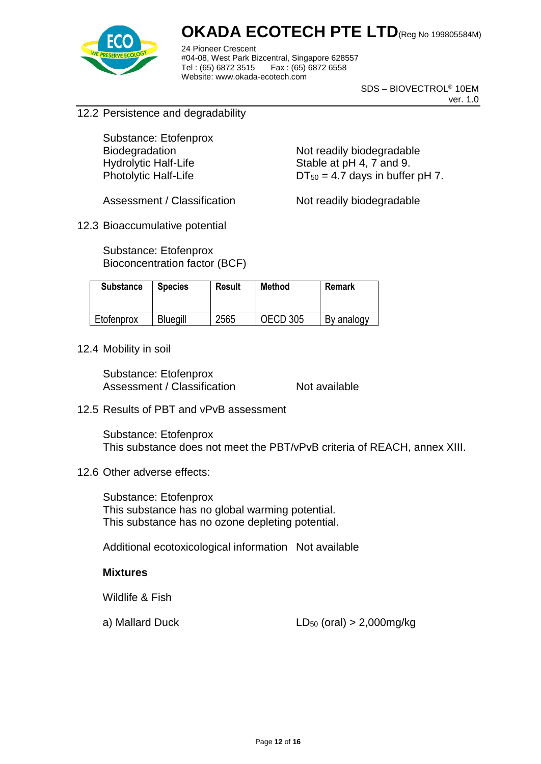

24 Pioneer Crescent #04-08, West Park Bizcentral, Singapore 628557 Tel : (65) 6872 3515 Fax : (65) 6872 6558 Website: www.okada-ecotech.com

> SDS – BIOVECTROL® 10EM ver. 1.0

12.2 Persistence and degradability

Substance: Etofenprox

Biodegradation Not readily biodegradable Hydrolytic Half-Life Stable at pH 4, 7 and 9. Photolytic Half-Life  $DT_{50} = 4.7$  days in buffer pH 7.

Assessment / Classification Not readily biodegradable

12.3 Bioaccumulative potential

Substance: Etofenprox Bioconcentration factor (BCF)

| <b>Substance</b> | <b>Species</b>  | Result | <b>Method</b> | <b>Remark</b> |
|------------------|-----------------|--------|---------------|---------------|
| Etofenprox       | <b>Bluegill</b> | 2565   | OECD 305      | By analogy    |

12.4 Mobility in soil

Substance: Etofenprox Assessment / Classification Not available

12.5 Results of PBT and vPvB assessment

Substance: Etofenprox This substance does not meet the PBT/vPvB criteria of REACH, annex XIII.

12.6 Other adverse effects:

Substance: Etofenprox This substance has no global warming potential. This substance has no ozone depleting potential.

Additional ecotoxicological information Not available

#### **Mixtures**

Wildlife & Fish

a) Mallard Duck  $LD_{50}$  (oral)  $> 2,000$ mg/kg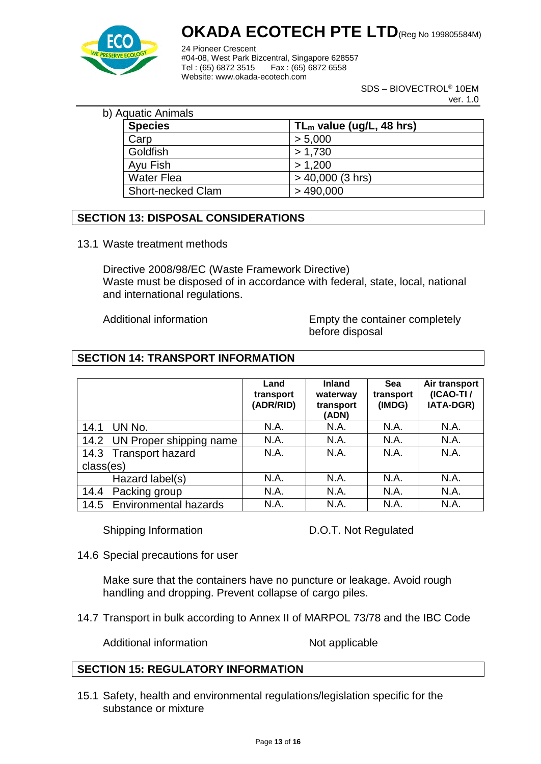

24 Pioneer Crescent #04-08, West Park Bizcentral, Singapore 628557 Fax : (65) 6872 6558 Website: www.okada-ecotech.com

> SDS – BIOVECTROL® 10EM ver. 1.0

| b) Aquatic Animals       |                             |
|--------------------------|-----------------------------|
| <b>Species</b>           | $TL_m$ value (ug/L, 48 hrs) |
| Carp                     | > 5,000                     |
| Goldfish                 | > 1,730                     |
| Ayu Fish                 | > 1,200                     |
| <b>Water Flea</b>        | $> 40,000$ (3 hrs)          |
| <b>Short-necked Clam</b> | >490,000                    |

#### **SECTION 13: DISPOSAL CONSIDERATIONS**

13.1 Waste treatment methods

Directive 2008/98/EC (Waste Framework Directive) Waste must be disposed of in accordance with federal, state, local, national and international regulations.

Additional information **Empty** the container completely before disposal

#### **SECTION 14: TRANSPORT INFORMATION**

|                              | Land<br>transport<br>(ADR/RID) | <b>Inland</b><br>waterway<br>transport<br>(ADN) | Sea<br>transport<br>(IMDG) | Air transport<br>(ICAO-TI/<br>IATA-DGR) |
|------------------------------|--------------------------------|-------------------------------------------------|----------------------------|-----------------------------------------|
| UN No.<br>14.1               | N.A.                           | N.A.                                            | N.A.                       | N.A.                                    |
| 14.2 UN Proper shipping name | N.A.                           | N.A.                                            | N.A.                       | N.A.                                    |
| 14.3 Transport hazard        | N.A.                           | N.A.                                            | N.A.                       | N.A.                                    |
| class(es)                    |                                |                                                 |                            |                                         |
| Hazard label(s)              | N.A.                           | N.A.                                            | N.A.                       | N.A.                                    |
| Packing group<br>14.4        | N.A.                           | N.A.                                            | N.A.                       | N.A.                                    |
| 14.5 Environmental hazards   | N.A.                           | N.A.                                            | N.A.                       | N.A.                                    |

Shipping Information D.O.T. Not Regulated

14.6 Special precautions for user

Make sure that the containers have no puncture or leakage. Avoid rough handling and dropping. Prevent collapse of cargo piles.

14.7 Transport in bulk according to Annex II of MARPOL 73/78 and the IBC Code

Additional information Not applicable

#### **SECTION 15: REGULATORY INFORMATION**

15.1 Safety, health and environmental regulations/legislation specific for the substance or mixture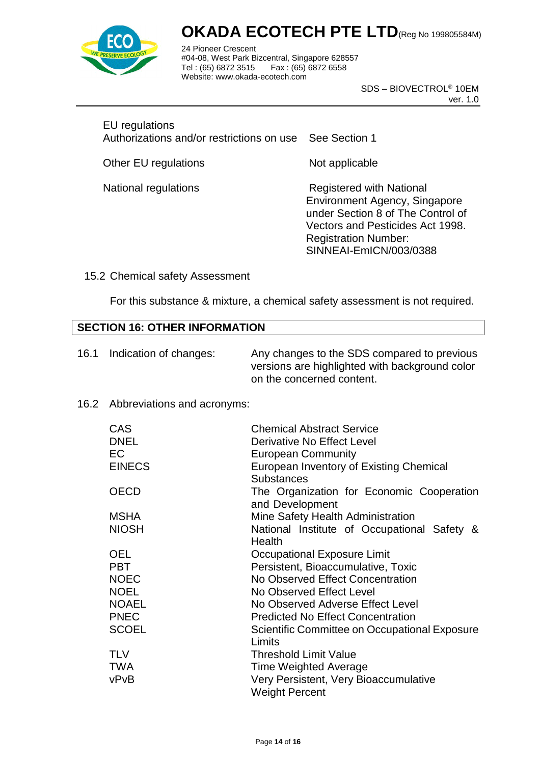

24 Pioneer Crescent #04-08, West Park Bizcentral, Singapore 628557 Fax : (65) 6872 6558 Website: www.okada-ecotech.com

> SDS – BIOVECTROL® 10EM ver. 1.0

#### EU regulations

Authorizations and/or restrictions on use See Section 1

Other EU regulations Not applicable

National regulations **National** Registered with National Environment Agency, Singapore under Section 8 of The Control of Vectors and Pesticides Act 1998. Registration Number: SINNEAI-EmICN/003/0388

#### 15.2 Chemical safety Assessment

For this substance & mixture, a chemical safety assessment is not required.

#### **SECTION 16: OTHER INFORMATION**

| 16.1 | Indication of changes: | Any changes to the SDS compared to previous<br>versions are highlighted with background color |
|------|------------------------|-----------------------------------------------------------------------------------------------|
|      |                        | on the concerned content.                                                                     |

#### 16.2 Abbreviations and acronyms:

| <b>CAS</b>    | <b>Chemical Abstract Service</b>                               |
|---------------|----------------------------------------------------------------|
| <b>DNEL</b>   | Derivative No Effect Level                                     |
| EC            | <b>European Community</b>                                      |
| <b>EINECS</b> | European Inventory of Existing Chemical<br><b>Substances</b>   |
| <b>OECD</b>   | The Organization for Economic Cooperation<br>and Development   |
| <b>MSHA</b>   | Mine Safety Health Administration                              |
| <b>NIOSH</b>  | National Institute of Occupational Safety &<br>Health          |
| <b>OEL</b>    | Occupational Exposure Limit                                    |
| <b>PBT</b>    | Persistent, Bioaccumulative, Toxic                             |
| <b>NOEC</b>   | No Observed Effect Concentration                               |
| <b>NOEL</b>   | No Observed Effect Level                                       |
| <b>NOAEL</b>  | No Observed Adverse Effect Level                               |
| <b>PNEC</b>   | <b>Predicted No Effect Concentration</b>                       |
| <b>SCOEL</b>  | Scientific Committee on Occupational Exposure<br>Limits        |
| <b>TLV</b>    | Threshold Limit Value                                          |
| TWA           | <b>Time Weighted Average</b>                                   |
| vPvB          | Very Persistent, Very Bioaccumulative<br><b>Weight Percent</b> |
|               |                                                                |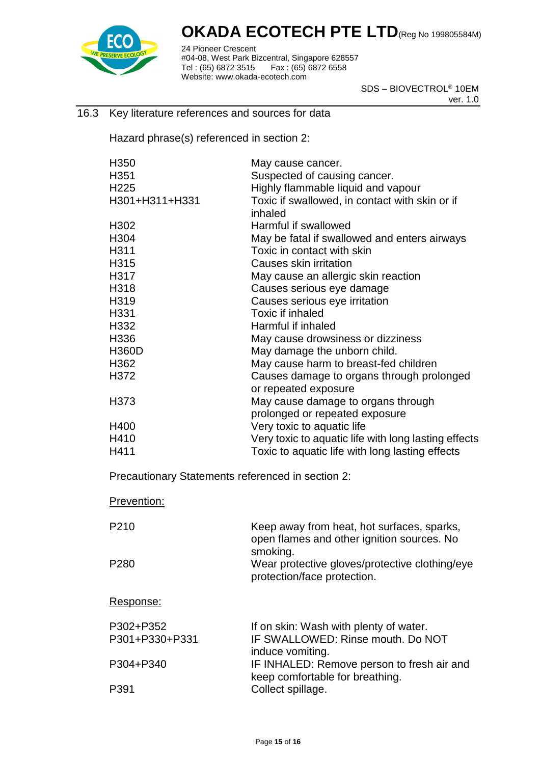

24 Pioneer Crescent #04-08, West Park Bizcentral, Singapore 628557 Tel : (65) 6872 3515 Fax : (65) 6872 6558 Website: www.okada-ecotech.com

> SDS – BIOVECTROL® 10EM ver. 1.0

#### 16.3 Key literature references and sources for data

Hazard phrase(s) referenced in section 2:

| H <sub>350</sub>                                  | May cause cancer.                                                                         |  |  |  |
|---------------------------------------------------|-------------------------------------------------------------------------------------------|--|--|--|
| H351                                              | Suspected of causing cancer.                                                              |  |  |  |
| H <sub>225</sub>                                  | Highly flammable liquid and vapour                                                        |  |  |  |
| H301+H311+H331                                    | Toxic if swallowed, in contact with skin or if<br>inhaled                                 |  |  |  |
| H302                                              | Harmful if swallowed                                                                      |  |  |  |
| H304                                              | May be fatal if swallowed and enters airways                                              |  |  |  |
| H311                                              | Toxic in contact with skin                                                                |  |  |  |
| H315                                              | Causes skin irritation                                                                    |  |  |  |
| H317                                              | May cause an allergic skin reaction                                                       |  |  |  |
| H318                                              | Causes serious eye damage                                                                 |  |  |  |
| H319                                              | Causes serious eye irritation                                                             |  |  |  |
| H331                                              | Toxic if inhaled                                                                          |  |  |  |
| H332                                              | Harmful if inhaled                                                                        |  |  |  |
| H336                                              | May cause drowsiness or dizziness                                                         |  |  |  |
| <b>H360D</b>                                      | May damage the unborn child.                                                              |  |  |  |
| H362                                              | May cause harm to breast-fed children                                                     |  |  |  |
| H372                                              | Causes damage to organs through prolonged                                                 |  |  |  |
|                                                   | or repeated exposure                                                                      |  |  |  |
| H <sub>3</sub> 73                                 | May cause damage to organs through                                                        |  |  |  |
|                                                   | prolonged or repeated exposure                                                            |  |  |  |
| H400                                              | Very toxic to aquatic life                                                                |  |  |  |
| H410                                              | Very toxic to aquatic life with long lasting effects                                      |  |  |  |
| H411                                              | Toxic to aquatic life with long lasting effects                                           |  |  |  |
| Precautionary Statements referenced in section 2: |                                                                                           |  |  |  |
| Prevention:                                       |                                                                                           |  |  |  |
| P <sub>210</sub>                                  | Keep away from heat, hot surfaces, sparks,<br>open flames and other ignition sources. No  |  |  |  |
| P280                                              | smoking.<br>Wear protective gloves/protective clothing/eye<br>protection/face protection. |  |  |  |
| Response:                                         |                                                                                           |  |  |  |
| P302+P352                                         | If on skin: Wash with plenty of water.                                                    |  |  |  |
| P301+P330+P331                                    | IF SWALLOWED: Rinse mouth, Do NOT                                                         |  |  |  |
|                                                   | induce vomiting.                                                                          |  |  |  |
| P304+P340                                         | IF INHALED: Remove person to fresh air and                                                |  |  |  |
|                                                   | keep comfortable for breathing.                                                           |  |  |  |

P391 Collect spillage.